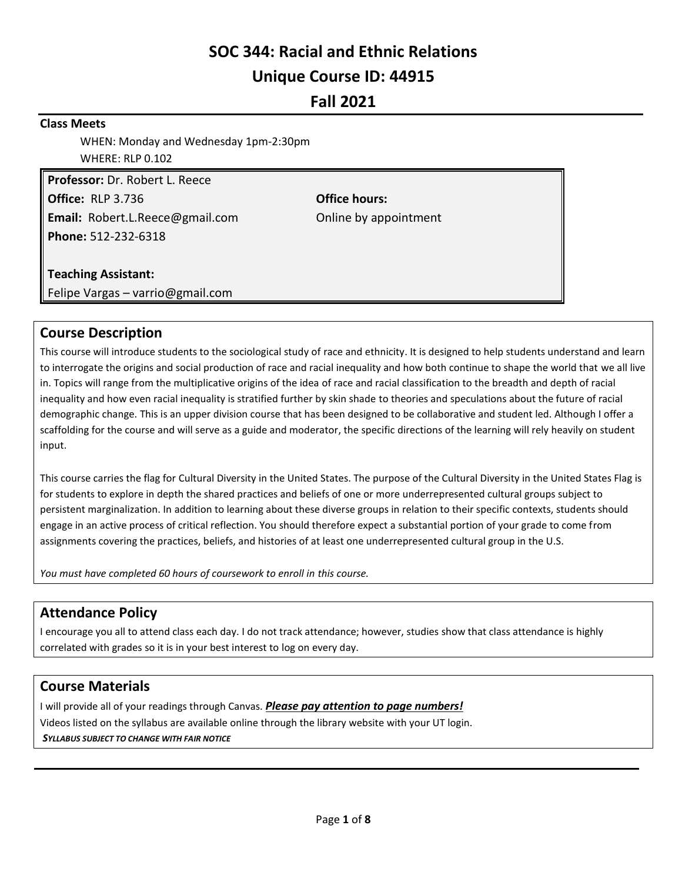# **SOC 344: Racial and Ethnic Relations Unique Course ID: 44915**

## **Fall 2021**

### **Class Meets**

WHEN: Monday and Wednesday 1pm-2:30pm WHERE: RLP 0.102

**Professor:** Dr. Robert L. Reece **Office:** RLP 3.736 **Office hours: Email:** Robert.L.Reece@gmail.com **Concernational Conduct** Domine by appointment **Phone:** 512-232-6318

### **Teaching Assistant:**

Felipe Vargas – varrio@gmail.com

## **Course Description**

This course will introduce students to the sociological study of race and ethnicity. It is designed to help students understand and learn to interrogate the origins and social production of race and racial inequality and how both continue to shape the world that we all live in. Topics will range from the multiplicative origins of the idea of race and racial classification to the breadth and depth of racial inequality and how even racial inequality is stratified further by skin shade to theories and speculations about the future of racial demographic change. This is an upper division course that has been designed to be collaborative and student led. Although I offer a scaffolding for the course and will serve as a guide and moderator, the specific directions of the learning will rely heavily on student input.

This course carries the flag for Cultural Diversity in the United States. The purpose of the Cultural Diversity in the United States Flag is for students to explore in depth the shared practices and beliefs of one or more underrepresented cultural groups subject to persistent marginalization. In addition to learning about these diverse groups in relation to their specific contexts, students should engage in an active process of critical reflection. You should therefore expect a substantial portion of your grade to come from assignments covering the practices, beliefs, and histories of at least one underrepresented cultural group in the U.S.

*You must have completed 60 hours of coursework to enroll in this course.*

## **Attendance Policy**

I encourage you all to attend class each day. I do not track attendance; however, studies show that class attendance is highly correlated with grades so it is in your best interest to log on every day.

## **Course Materials**

I will provide all of your readings through Canvas. *Please pay attention to page numbers!* Videos listed on the syllabus are available online through the library website with your UT login. *SYLLABUS SUBJECT TO CHANGE WITH FAIR NOTICE*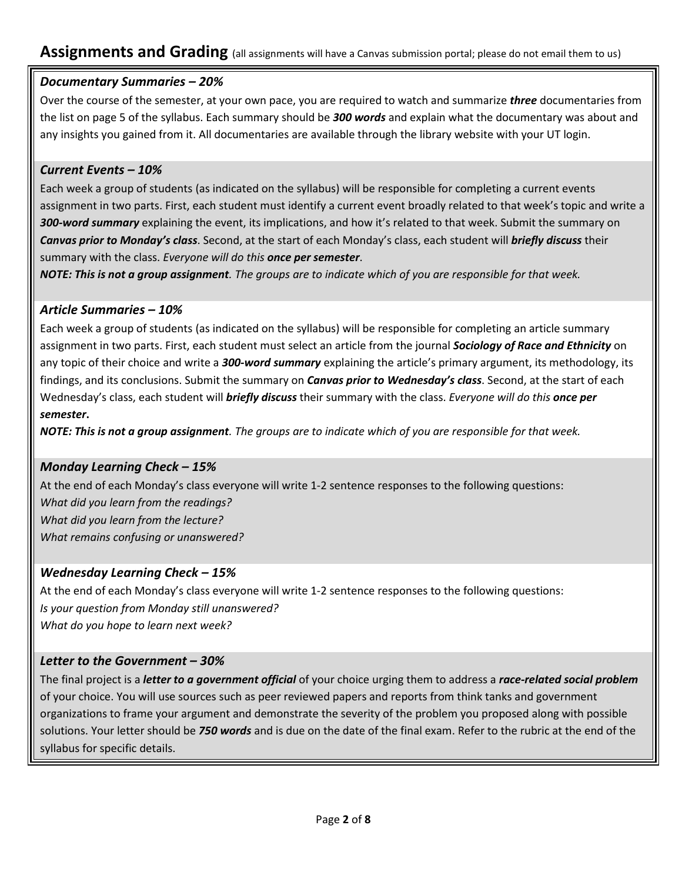## **Assignments and Grading** (all assignments will have a Canvas submission portal; please do not email them to us)

## *Documentary Summaries – 20%*

Over the course of the semester, at your own pace, you are required to watch and summarize *three* documentaries from the list on page 5 of the syllabus. Each summary should be *300 words* and explain what the documentary was about and any insights you gained from it. All documentaries are available through the library website with your UT login.

### *Current Events – 10%*

Each week a group of students (as indicated on the syllabus) will be responsible for completing a current events assignment in two parts. First, each student must identify a current event broadly related to that week's topic and write a *300-word summary* explaining the event, its implications, and how it's related to that week. Submit the summary on *Canvas prior to Monday's class*. Second, at the start of each Monday's class, each student will *briefly discuss* their summary with the class. *Everyone will do this once per semester*.

*NOTE: This is not a group assignment. The groups are to indicate which of you are responsible for that week.*

## *Article Summaries – 10%*

Each week a group of students (as indicated on the syllabus) will be responsible for completing an article summary assignment in two parts. First, each student must select an article from the journal *Sociology of Race and Ethnicity* on any topic of their choice and write a *300-word summary* explaining the article's primary argument, its methodology, its findings, and its conclusions. Submit the summary on *Canvas prior to Wednesday's class*. Second, at the start of each Wednesday's class, each student will *briefly discuss* their summary with the class. *Everyone will do this once per semester***.** 

*NOTE: This is not a group assignment. The groups are to indicate which of you are responsible for that week.*

## *Monday Learning Check – 15%*

At the end of each Monday's class everyone will write 1-2 sentence responses to the following questions: *What did you learn from the readings? What did you learn from the lecture? What remains confusing or unanswered?*

## *Wednesday Learning Check – 15%*

At the end of each Monday's class everyone will write 1-2 sentence responses to the following questions: *Is your question from Monday still unanswered? What do you hope to learn next week?*

## *Letter to the Government – 30%*

The final project is a *letter to a government official* of your choice urging them to address a *race-related social problem* of your choice. You will use sources such as peer reviewed papers and reports from think tanks and government organizations to frame your argument and demonstrate the severity of the problem you proposed along with possible solutions. Your letter should be *750 words* and is due on the date of the final exam. Refer to the rubric at the end of the syllabus for specific details.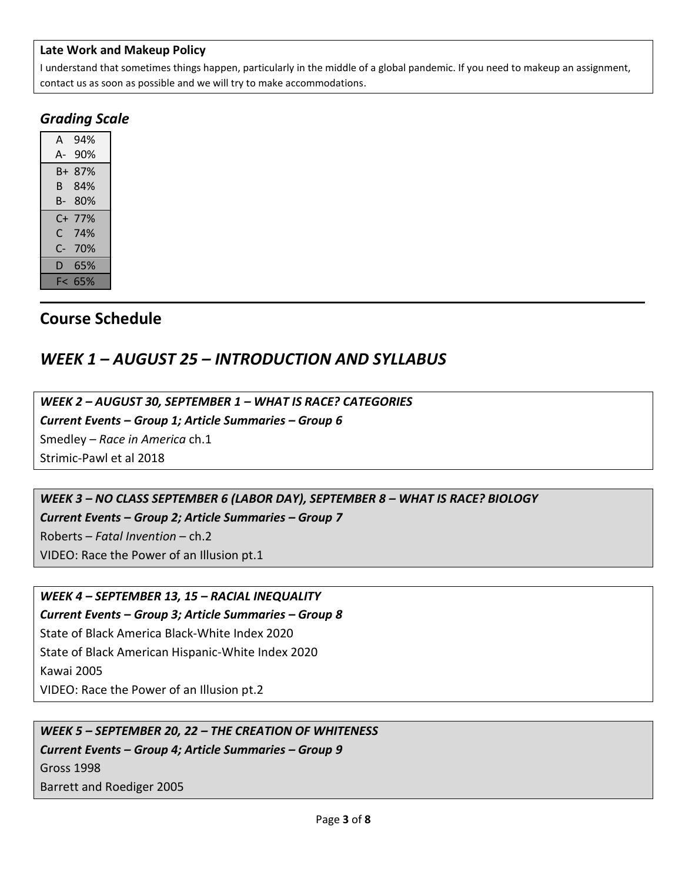### **Late Work and Makeup Policy**

I understand that sometimes things happen, particularly in the middle of a global pandemic. If you need to makeup an assignment, contact us as soon as possible and we will try to make accommodations.

## *Grading Scale*

| A  | 94% |
|----|-----|
| А- | 90% |
| B+ | 87% |
| B. | 84% |
| B- | 80% |
|    |     |
| C+ | 77% |
| C. | 74% |
| C- | 70% |
| D  | 65% |

## **Course Schedule**

## *WEEK 1 – AUGUST 25 – INTRODUCTION AND SYLLABUS*

*WEEK 2 – AUGUST 30, SEPTEMBER 1 – WHAT IS RACE? CATEGORIES*

*Current Events – Group 1; Article Summaries – Group 6*

Smedley – *Race in America* ch.1

Strimic-Pawl et al 2018

*WEEK 3 – NO CLASS SEPTEMBER 6 (LABOR DAY), SEPTEMBER 8 – WHAT IS RACE? BIOLOGY*

*Current Events – Group 2; Article Summaries – Group 7*

Roberts – *Fatal Invention* – ch.2

VIDEO: Race the Power of an Illusion pt.1

### *WEEK 4 – SEPTEMBER 13, 15 – RACIAL INEQUALITY Current Events – Group 3; Article Summaries – Group 8*

State of Black America Black-White Index 2020 State of Black American Hispanic-White Index 2020 Kawai 2005 VIDEO: Race the Power of an Illusion pt.2

*WEEK 5 – SEPTEMBER 20, 22 – THE CREATION OF WHITENESS*

*Current Events – Group 4; Article Summaries – Group 9* Gross 1998 Barrett and Roediger 2005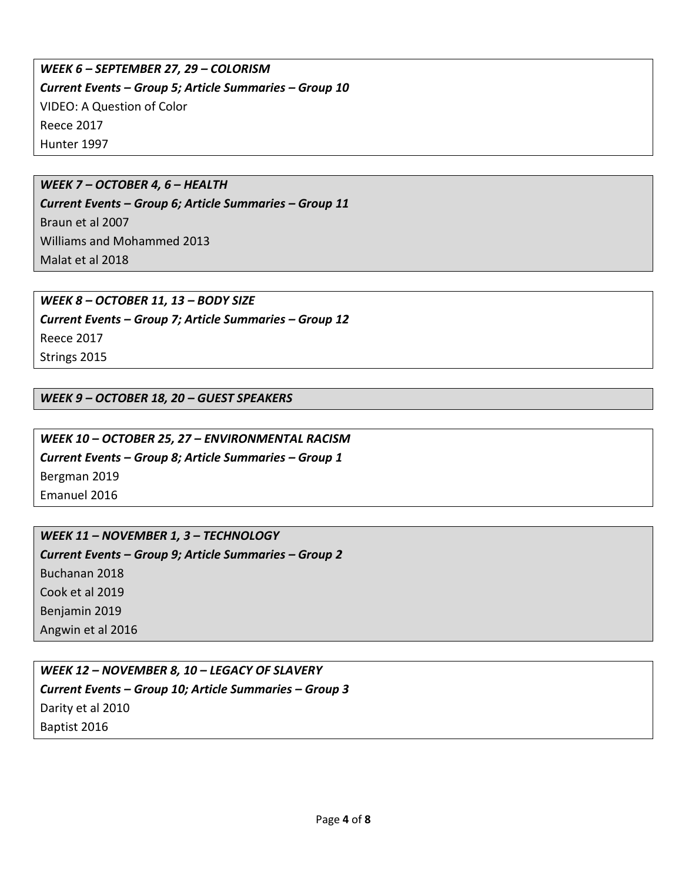## *WEEK 6 – SEPTEMBER 27, 29 – COLORISM Current Events – Group 5; Article Summaries – Group 10* VIDEO: A Question of Color Reece 2017 Hunter 1997

### *WEEK 7 – OCTOBER 4, 6 – HEALTH*

*Current Events – Group 6; Article Summaries – Group 11* Braun et al 2007 Williams and Mohammed 2013 Malat et al 2018

*WEEK 8 – OCTOBER 11, 13 – BODY SIZE Current Events – Group 7; Article Summaries – Group 12* Reece 2017 Strings 2015

*WEEK 9 – OCTOBER 18, 20 – GUEST SPEAKERS*

*WEEK 10 – OCTOBER 25, 27 – ENVIRONMENTAL RACISM Current Events – Group 8; Article Summaries – Group 1* Bergman 2019 Emanuel 2016

*WEEK 11 – NOVEMBER 1, 3 – TECHNOLOGY Current Events – Group 9; Article Summaries – Group 2* Buchanan 2018 Cook et al 2019 Benjamin 2019 Angwin et al 2016

*WEEK 12 – NOVEMBER 8, 10 – LEGACY OF SLAVERY Current Events – Group 10; Article Summaries – Group 3* Darity et al 2010 Baptist 2016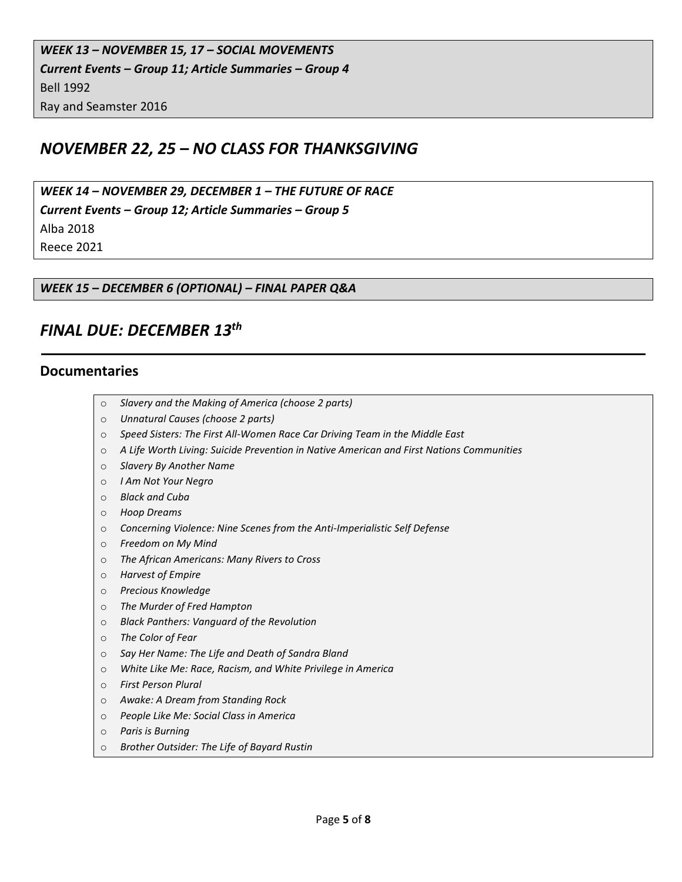## *NOVEMBER 22, 25 – NO CLASS FOR THANKSGIVING*

*WEEK 14 – NOVEMBER 29, DECEMBER 1 – THE FUTURE OF RACE Current Events – Group 12; Article Summaries – Group 5* Alba 2018 Reece 2021

*WEEK 15 – DECEMBER 6 (OPTIONAL) – FINAL PAPER Q&A*

## *FINAL DUE: DECEMBER 13th*

### **Documentaries**

- o *Slavery and the Making of America (choose 2 parts)*
- o *Unnatural Causes (choose 2 parts)*
- o *Speed Sisters: The First All-Women Race Car Driving Team in the Middle East*
- o *A Life Worth Living: Suicide Prevention in Native American and First Nations Communities*
- o *Slavery By Another Name*
- o *I Am Not Your Negro*
- o *Black and Cuba*
- o *Hoop Dreams*
- o *Concerning Violence: Nine Scenes from the Anti-Imperialistic Self Defense*
- o *Freedom on My Mind*
- o *The African Americans: Many Rivers to Cross*
- o *Harvest of Empire*
- o *Precious Knowledge*
- o *The Murder of Fred Hampton*
- o *Black Panthers: Vanguard of the Revolution*
- o *The Color of Fear*
- o *Say Her Name: The Life and Death of Sandra Bland*
- o *White Like Me: Race, Racism, and White Privilege in America*
- o *First Person Plural*
- o *Awake: A Dream from Standing Rock*
- o *People Like Me: Social Class in America*
- o *Paris is Burning*
- o *Brother Outsider: The Life of Bayard Rustin*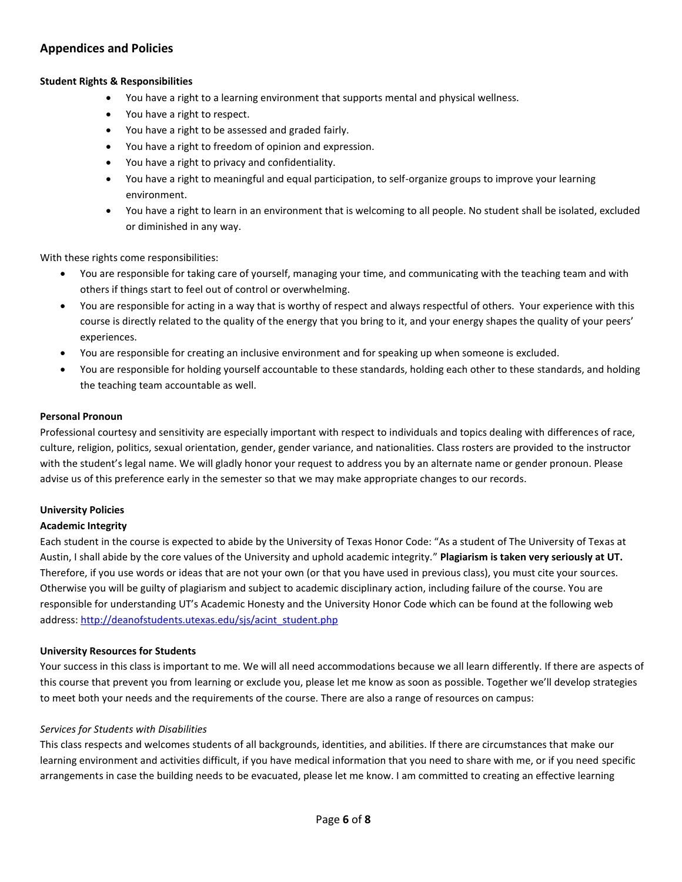### **Appendices and Policies**

#### **Student Rights & Responsibilities**

- You have a right to a learning environment that supports mental and physical wellness.
- You have a right to respect.
- You have a right to be assessed and graded fairly.
- You have a right to freedom of opinion and expression.
- You have a right to privacy and confidentiality.
- You have a right to meaningful and equal participation, to self-organize groups to improve your learning environment.
- You have a right to learn in an environment that is welcoming to all people. No student shall be isolated, excluded or diminished in any way.

With these rights come responsibilities:

- You are responsible for taking care of yourself, managing your time, and communicating with the teaching team and with others if things start to feel out of control or overwhelming.
- You are responsible for acting in a way that is worthy of respect and always respectful of others. Your experience with this course is directly related to the quality of the energy that you bring to it, and your energy shapes the quality of your peers' experiences.
- You are responsible for creating an inclusive environment and for speaking up when someone is excluded.
- You are responsible for holding yourself accountable to these standards, holding each other to these standards, and holding the teaching team accountable as well.

#### **Personal Pronoun**

Professional courtesy and sensitivity are especially important with respect to individuals and topics dealing with differences of race, culture, religion, politics, sexual orientation, gender, gender variance, and nationalities. Class rosters are provided to the instructor with the student's legal name. We will gladly honor your request to address you by an alternate name or gender pronoun. Please advise us of this preference early in the semester so that we may make appropriate changes to our records.

#### **University Policies**

#### **Academic Integrity**

Each student in the course is expected to abide by the University of Texas Honor Code: "As a student of The University of Texas at Austin, I shall abide by the core values of the University and uphold academic integrity." **Plagiarism is taken very seriously at UT.** Therefore, if you use words or ideas that are not your own (or that you have used in previous class), you must cite your sources. Otherwise you will be guilty of plagiarism and subject to academic disciplinary action, including failure of the course. You are responsible for understanding UT's Academic Honesty and the University Honor Code which can be found at the following web address[: http://deanofstudents.utexas.edu/sjs/acint\\_student.php](http://deanofstudents.utexas.edu/sjs/acint_student.php)

#### **University Resources for Students**

Your success in this class is important to me. We will all need accommodations because we all learn differently. If there are aspects of this course that prevent you from learning or exclude you, please let me know as soon as possible. Together we'll develop strategies to meet both your needs and the requirements of the course. There are also a range of resources on campus:

#### *Services for Students with Disabilities*

This class respects and welcomes students of all backgrounds, identities, and abilities. If there are circumstances that make our learning environment and activities difficult, if you have medical information that you need to share with me, or if you need specific arrangements in case the building needs to be evacuated, please let me know. I am committed to creating an effective learning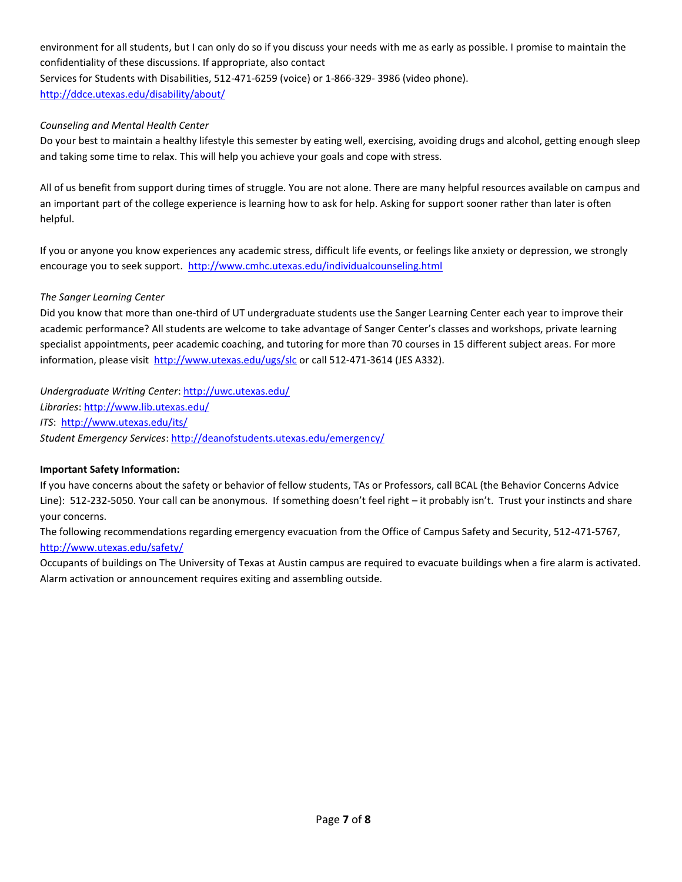environment for all students, but I can only do so if you discuss your needs with me as early as possible. I promise to maintain the confidentiality of these discussions. If appropriate, also contact Services for Students with Disabilities, 512-471-6259 (voice) or 1-866-329- 3986 (video phone). <http://ddce.utexas.edu/disability/about/>

### *Counseling and Mental Health Center*

Do your best to maintain a healthy lifestyle this semester by eating well, exercising, avoiding drugs and alcohol, getting enough sleep and taking some time to relax. This will help you achieve your goals and cope with stress.

All of us benefit from support during times of struggle. You are not alone. There are many helpful resources available on campus and an important part of the college experience is learning how to ask for help. Asking for support sooner rather than later is often helpful.

If you or anyone you know experiences any academic stress, difficult life events, or feelings like anxiety or depression, we strongly encourage you to seek support. <http://www.cmhc.utexas.edu/individualcounseling.html>

#### *The Sanger Learning Center*

Did you know that more than one-third of UT undergraduate students use the Sanger Learning Center each year to improve their academic performance? All students are welcome to take advantage of Sanger Center's classes and workshops, private learning specialist appointments, peer academic coaching, and tutoring for more than 70 courses in 15 different subject areas. For more information, please visit<http://www.utexas.edu/ugs/slc> or call 512-471-3614 (JES A332).

*Undergraduate Writing Center*:<http://uwc.utexas.edu/> *Libraries*[: http://www.lib.utexas.edu/](http://www.lib.utexas.edu/) *ITS*: <http://www.utexas.edu/its/> *Student Emergency Services*:<http://deanofstudents.utexas.edu/emergency/>

#### **Important Safety Information:**

If you have concerns about the safety or behavior of fellow students, TAs or Professors, call BCAL (the Behavior Concerns Advice Line): 512-232-5050. Your call can be anonymous. If something doesn't feel right – it probably isn't. Trust your instincts and share your concerns.

The following recommendations regarding emergency evacuation from the Office of Campus Safety and Security, 512-471-5767, <http://www.utexas.edu/safety/>

Occupants of buildings on The University of Texas at Austin campus are required to evacuate buildings when a fire alarm is activated. Alarm activation or announcement requires exiting and assembling outside.